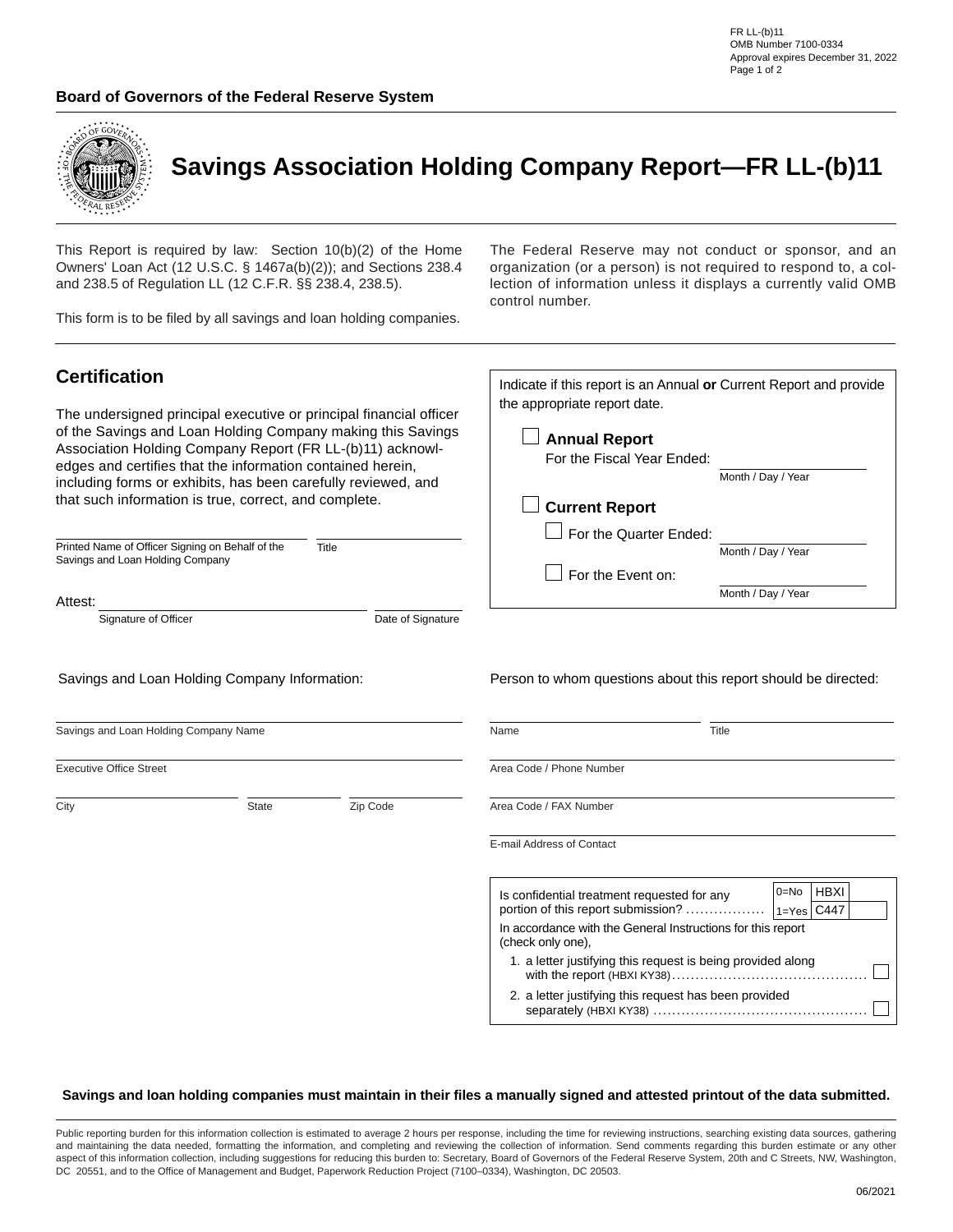#### **Board of Governors of the Federal Reserve System**



# **Savings Association Holding Company Report—FR LL-(b)11**

the appropriate report date.

**Annual Report**

**Current Report**

For the Quarter Ended:

For the Fiscal Year Ended:

For the Event on:

This Report is required by law: Section 10(b)(2) of the Home Owners' Loan Act (12 U.S.C. § 1467a(b)(2)); and Sections 238.4 and 238.5 of Regulation LL (12 C.F.R. §§ 238.4, 238.5).

This form is to be filed by all savings and loan holding companies.

The Federal Reserve may not conduct or sponsor, and an organization (or a person) is not required to respond to, a collection of information unless it displays a currently valid OMB control number.

Indicate if this report is an Annual **or** Current Report and provide

Month / Day / Year

Month / Day / Year

Month / Day / Year

### **Certification**

The undersigned principal executive or principal financial officer of the Savings and Loan Holding Company making this Savings Association Holding Company Report (FR LL-(b)11) acknowledges and certifies that the information contained herein, including forms or exhibits, has been carefully reviewed, and that such information is true, correct, and complete.

| Printed Name of Officer Signing on Behalf of the | Title |
|--------------------------------------------------|-------|
| Savings and Loan Holding Company                 |       |

#### Attest:

Signature of Officer **Date of Signature** Date of Signature

Savings and Loan Holding Company Information:

Person to whom questions about this report should be directed:

| Savings and Loan Holding Company Name |              | Name     | Title                                                       |                                                                                   |  |
|---------------------------------------|--------------|----------|-------------------------------------------------------------|-----------------------------------------------------------------------------------|--|
| <b>Executive Office Street</b>        |              |          | Area Code / Phone Number                                    |                                                                                   |  |
| City                                  | <b>State</b> | Zip Code | Area Code / FAX Number                                      |                                                                                   |  |
|                                       |              |          | E-mail Address of Contact                                   |                                                                                   |  |
|                                       |              |          | Is confidential treatment requested for any                 | <b>HBXI</b><br>$0 = No$<br>portion of this report submission?<br>$1 = Yes$ $C447$ |  |
|                                       |              |          | (check only one),                                           | In accordance with the General Instructions for this report                       |  |
|                                       |              |          | 1. a letter justifying this request is being provided along |                                                                                   |  |
|                                       |              |          |                                                             | 2. a letter justifying this request has been provided                             |  |

#### Savings and loan holding companies must maintain in their files a manually signed and attested printout of the data submitted.

Public reporting burden for this information collection is estimated to average 2 hours per response, including the time for reviewing instructions, searching existing data sources, gathering and maintaining the data needed, formatting the information, and completing and reviewing the collection of information. Send comments regarding this burden estimate or any other aspect of this information collection, including suggestions for reducing this burden to: Secretary, Board of Governors of the Federal Reserve System, 20th and C Streets, NW, Washington, DC 20551, and to the Office of Management and Budget, Paperwork Reduction Project (7100–0334), Washington, DC 20503.